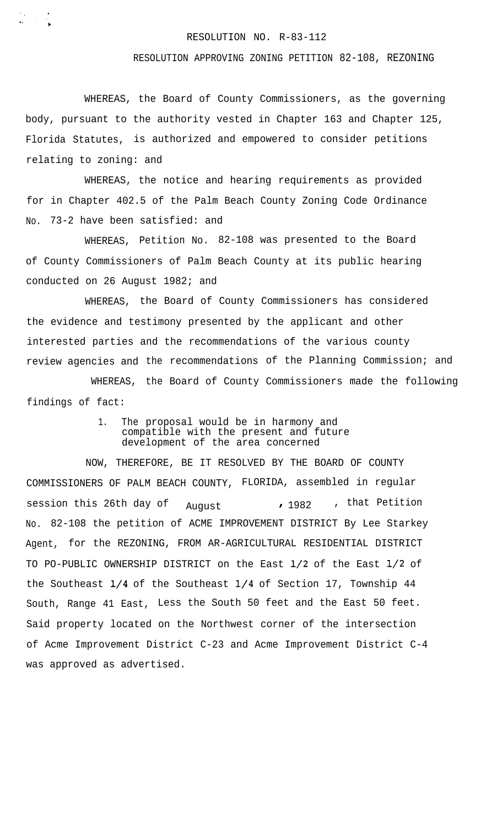## RESOLUTION NO. R-83-112

## RESOLUTION APPROVING ZONING PETITION 82-108, REZONING

WHEREAS, the Board of County Commissioners, as the governing body, pursuant to the authority vested in Chapter 163 and Chapter 125, Florida Statutes, is authorized and empowered to consider petitions relating to zoning: and

 $\frac{1}{2}$ 

WHEREAS, the notice and hearing requirements as provided for in Chapter 402.5 of the Palm Beach County Zoning Code Ordinance No. 73-2 have been satisfied: and

WHEREAS, Petition No. 82-108 was presented to the Board of County Commissioners of Palm Beach County at its public hearing conducted on 26 August 1982; and

WHEREAS, the Board of County Commissioners has considered the evidence and testimony presented by the applicant and other interested parties and the recommendations of the various county review agencies and the recommendations of the Planning Commission; and

WHEREAS, the Board of County Commissioners made the following findings of fact:

> 1. The proposal would be in harmony and compatible with the present and future development of the area concerned

NOW, THEREFORE, BE IT RESOLVED BY THE BOARD OF COUNTY COMMISSIONERS OF PALM BEACH COUNTY, FLORIDA, assembled in regular session this 26th day of August 1982 , that Petition No. 82-108 the petition of ACME IMPROVEMENT DISTRICT By Lee Starkey Agent, for the REZONING, FROM AR-AGRICULTURAL RESIDENTIAL DISTRICT TO PO-PUBLIC OWNERSHIP DISTRICT on the East l/2 of the East l/2 of the Southeast l/4 of the Southeast l/4 of Section 17, Township 44 South, Range 41 East, Less the South 50 feet and the East 50 feet. Said property located on the Northwest corner of the intersection of Acme Improvement District C-23 and Acme Improvement District C-4 was approved as advertised.